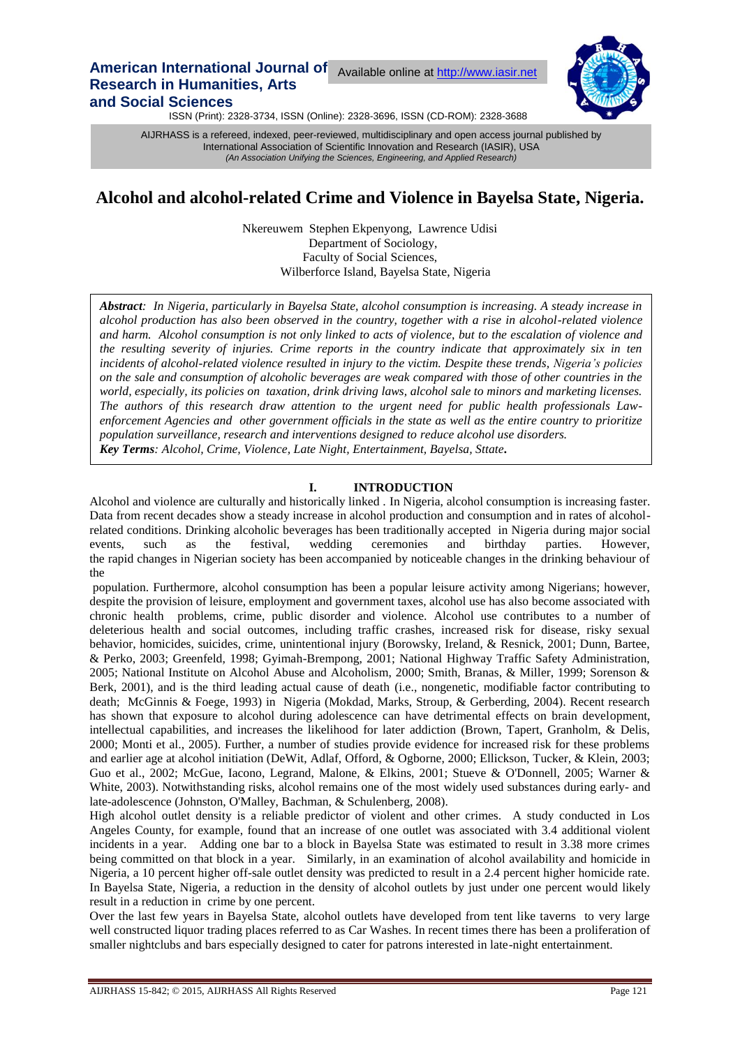# **American International Journal of** Available online at [http://www.iasir.net](http://www.iasir.net/) **Research in Humanities, Arts and Social Sciences**



ISSN (Print): 2328-3734, ISSN (Online): 2328-3696, ISSN (CD-ROM): 2328-3688

 International Association of Scientific Innovation and Research (IASIR), USA AIJRHASS is a refereed, indexed, peer-reviewed, multidisciplinary and open access journal published by *(An Association Unifying the Sciences, Engineering, and Applied Research)*

# **Alcohol and alcohol-related Crime and Violence in Bayelsa State, Nigeria.**

Nkereuwem Stephen Ekpenyong, Lawrence Udisi Department of Sociology, Faculty of Social Sciences, Wilberforce Island, Bayelsa State, Nigeria

*Abstract: In Nigeria, particularly in Bayelsa State, alcohol consumption is increasing. A steady increase in alcohol production has also been observed in the country, together with a rise in alcohol-related violence and harm. Alcohol consumption is not only linked to acts of violence, but to the escalation of violence and the resulting severity of injuries. Crime reports in the country indicate that approximately six in ten incidents of alcohol-related violence resulted in injury to the victim. Despite these trends, Nigeria's policies on the sale and consumption of alcoholic beverages are weak compared with those of other countries in the world, especially, its policies on taxation, drink driving laws, alcohol sale to minors and marketing licenses. The authors of this research draw attention to the urgent need for public health professionals Lawenforcement Agencies and other government officials in the state as well as the entire country to prioritize population surveillance, research and interventions designed to reduce alcohol use disorders. Key Terms: Alcohol, Crime, Violence, Late Night, Entertainment, Bayelsa, Sttate.*

## **I. INTRODUCTION**

Alcohol and violence are culturally and historically linked . In Nigeria, alcohol consumption is increasing faster. Data from recent decades show a steady increase in alcohol production and consumption and in rates of alcoholrelated conditions. Drinking alcoholic beverages has been traditionally accepted in Nigeria during major social events, such as the festival, wedding ceremonies and birthday parties. However, the rapid changes in Nigerian society has been accompanied by noticeable changes in the drinking behaviour of the

population. Furthermore, alcohol consumption has been a popular leisure activity among Nigerians; however, despite the provision of leisure, employment and government taxes, alcohol use has also become associated with chronic health problems, crime, public disorder and violence. Alcohol use contributes to a number of deleterious health and social outcomes, including traffic crashes, increased risk for disease, risky sexual behavior, homicides, suicides, crime, unintentional injury (Borowsky, Ireland, & Resnick, 2001; Dunn, Bartee, & Perko, 2003; Greenfeld, 1998; Gyimah-Brempong, 2001; National Highway Traffic Safety Administration, 2005; National Institute on Alcohol Abuse and Alcoholism, 2000; Smith, Branas, & Miller, 1999; Sorenson & Berk, 2001), and is the third leading actual cause of death (i.e., nongenetic, modifiable factor contributing to death; McGinnis & Foege, 1993) in Nigeria (Mokdad, Marks, Stroup, & Gerberding, 2004). Recent research has shown that exposure to alcohol during adolescence can have detrimental effects on brain development, intellectual capabilities, and increases the likelihood for later addiction (Brown, Tapert, Granholm, & Delis, 2000; Monti et al., 2005). Further, a number of studies provide evidence for increased risk for these problems and earlier age at alcohol initiation (DeWit, Adlaf, Offord, & Ogborne, 2000; Ellickson, Tucker, & Klein, 2003; Guo et al., 2002; McGue, Iacono, Legrand, Malone, & Elkins, 2001; Stueve & O'Donnell, 2005; Warner & White, 2003). Notwithstanding risks, alcohol remains one of the most widely used substances during early- and late-adolescence (Johnston, O'Malley, Bachman, & Schulenberg, 2008).

High alcohol outlet density is a reliable predictor of violent and other crimes. A study conducted in Los Angeles County, for example, found that an increase of one outlet was associated with 3.4 additional violent incidents in a year. Adding one bar to a block in Bayelsa State was estimated to result in 3.38 more crimes being committed on that block in a year. Similarly, in an examination of alcohol availability and homicide in Nigeria, a 10 percent higher off-sale outlet density was predicted to result in a 2.4 percent higher homicide rate. In Bayelsa State, Nigeria, a reduction in the density of alcohol outlets by just under one percent would likely result in a reduction in crime by one percent.

Over the last few years in Bayelsa State, alcohol outlets have developed from tent like taverns to very large well constructed liquor trading places referred to as Car Washes. In recent times there has been a proliferation of smaller nightclubs and bars especially designed to cater for patrons interested in late-night entertainment.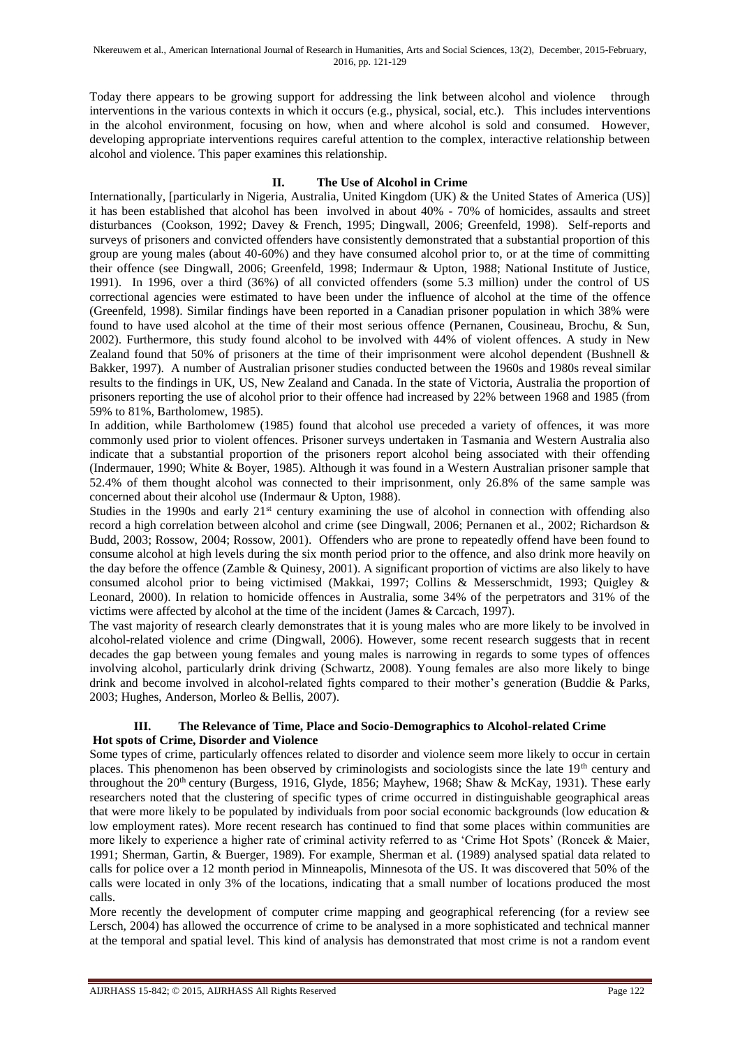Today there appears to be growing support for addressing the link between alcohol and violence through interventions in the various contexts in which it occurs (e.g., physical, social, etc.). This includes interventions in the alcohol environment, focusing on how, when and where alcohol is sold and consumed. However, developing appropriate interventions requires careful attention to the complex, interactive relationship between alcohol and violence. This paper examines this relationship.

# **II. The Use of Alcohol in Crime**

Internationally, [particularly in Nigeria, Australia, United Kingdom (UK) & the United States of America (US)] it has been established that alcohol has been involved in about 40% - 70% of homicides, assaults and street disturbances (Cookson, 1992; Davey & French, 1995; Dingwall, 2006; Greenfeld, 1998). Self-reports and surveys of prisoners and convicted offenders have consistently demonstrated that a substantial proportion of this group are young males (about 40-60%) and they have consumed alcohol prior to, or at the time of committing their offence (see Dingwall, 2006; Greenfeld, 1998; Indermaur & Upton, 1988; National Institute of Justice, 1991). In 1996, over a third (36%) of all convicted offenders (some 5.3 million) under the control of US correctional agencies were estimated to have been under the influence of alcohol at the time of the offence (Greenfeld, 1998). Similar findings have been reported in a Canadian prisoner population in which 38% were found to have used alcohol at the time of their most serious offence (Pernanen, Cousineau, Brochu, & Sun, 2002). Furthermore, this study found alcohol to be involved with 44% of violent offences. A study in New Zealand found that 50% of prisoners at the time of their imprisonment were alcohol dependent (Bushnell & Bakker, 1997). A number of Australian prisoner studies conducted between the 1960s and 1980s reveal similar results to the findings in UK, US, New Zealand and Canada. In the state of Victoria, Australia the proportion of prisoners reporting the use of alcohol prior to their offence had increased by 22% between 1968 and 1985 (from 59% to 81%, Bartholomew, 1985).

In addition, while Bartholomew (1985) found that alcohol use preceded a variety of offences, it was more commonly used prior to violent offences. Prisoner surveys undertaken in Tasmania and Western Australia also indicate that a substantial proportion of the prisoners report alcohol being associated with their offending (Indermauer, 1990; White & Boyer, 1985). Although it was found in a Western Australian prisoner sample that 52.4% of them thought alcohol was connected to their imprisonment, only 26.8% of the same sample was concerned about their alcohol use (Indermaur & Upton, 1988).

Studies in the 1990s and early  $21<sup>st</sup>$  century examining the use of alcohol in connection with offending also record a high correlation between alcohol and crime (see Dingwall, 2006; Pernanen et al., 2002; Richardson & Budd, 2003; Rossow, 2004; Rossow, 2001). Offenders who are prone to repeatedly offend have been found to consume alcohol at high levels during the six month period prior to the offence, and also drink more heavily on the day before the offence (Zamble & Quinesy, 2001). A significant proportion of victims are also likely to have consumed alcohol prior to being victimised (Makkai, 1997; Collins & Messerschmidt, 1993; Quigley & Leonard, 2000). In relation to homicide offences in Australia, some 34% of the perpetrators and 31% of the victims were affected by alcohol at the time of the incident (James & Carcach, 1997).

The vast majority of research clearly demonstrates that it is young males who are more likely to be involved in alcohol-related violence and crime (Dingwall, 2006). However, some recent research suggests that in recent decades the gap between young females and young males is narrowing in regards to some types of offences involving alcohol, particularly drink driving (Schwartz, 2008). Young females are also more likely to binge drink and become involved in alcohol-related fights compared to their mother's generation (Buddie & Parks, 2003; Hughes, Anderson, Morleo & Bellis, 2007).

### **III. The Relevance of Time, Place and Socio-Demographics to Alcohol-related Crime Hot spots of Crime, Disorder and Violence**

Some types of crime, particularly offences related to disorder and violence seem more likely to occur in certain places. This phenomenon has been observed by criminologists and sociologists since the late 19<sup>th</sup> century and throughout the  $20<sup>th</sup>$  century (Burgess, 1916, Glyde, 1856; Mayhew, 1968; Shaw & McKay, 1931). These early researchers noted that the clustering of specific types of crime occurred in distinguishable geographical areas that were more likely to be populated by individuals from poor social economic backgrounds (low education & low employment rates). More recent research has continued to find that some places within communities are more likely to experience a higher rate of criminal activity referred to as 'Crime Hot Spots' (Roncek & Maier, 1991; Sherman, Gartin, & Buerger, 1989). For example, Sherman et al. (1989) analysed spatial data related to calls for police over a 12 month period in Minneapolis, Minnesota of the US. It was discovered that 50% of the calls were located in only 3% of the locations, indicating that a small number of locations produced the most calls.

More recently the development of computer crime mapping and geographical referencing (for a review see Lersch, 2004) has allowed the occurrence of crime to be analysed in a more sophisticated and technical manner at the temporal and spatial level. This kind of analysis has demonstrated that most crime is not a random event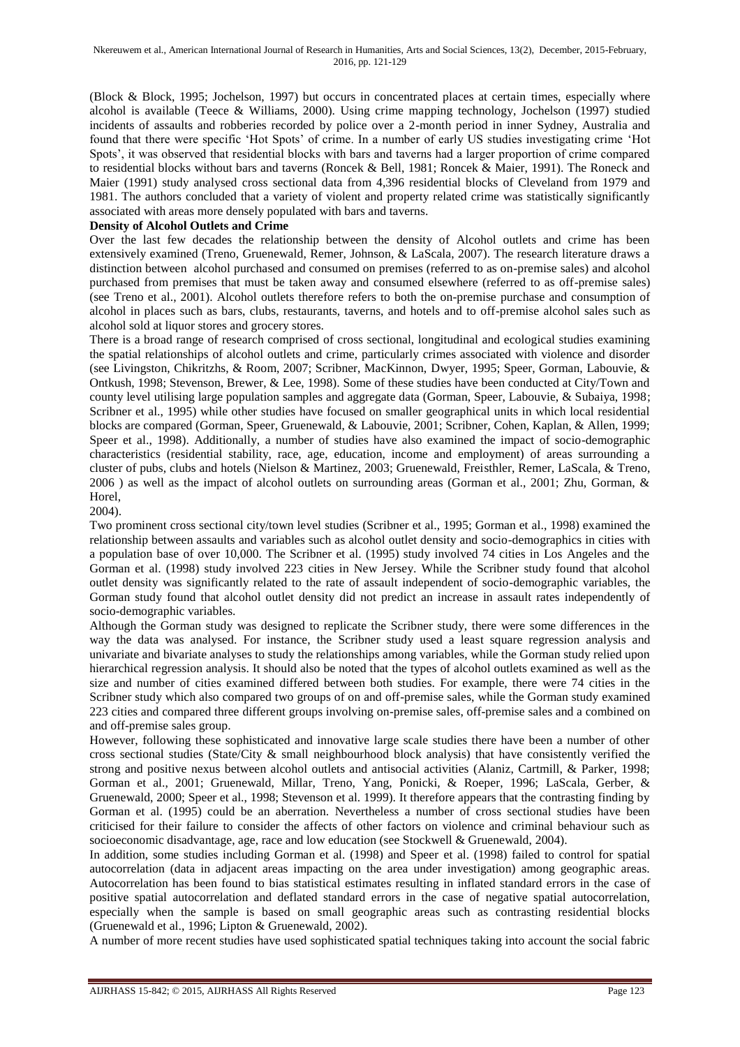(Block & Block, 1995; Jochelson, 1997) but occurs in concentrated places at certain times, especially where alcohol is available (Teece & Williams, 2000). Using crime mapping technology, Jochelson (1997) studied incidents of assaults and robberies recorded by police over a 2-month period in inner Sydney, Australia and found that there were specific 'Hot Spots' of crime. In a number of early US studies investigating crime 'Hot Spots', it was observed that residential blocks with bars and taverns had a larger proportion of crime compared to residential blocks without bars and taverns (Roncek & Bell, 1981; Roncek & Maier, 1991). The Roneck and Maier (1991) study analysed cross sectional data from 4,396 residential blocks of Cleveland from 1979 and 1981. The authors concluded that a variety of violent and property related crime was statistically significantly associated with areas more densely populated with bars and taverns.

### **Density of Alcohol Outlets and Crime**

Over the last few decades the relationship between the density of Alcohol outlets and crime has been extensively examined (Treno, Gruenewald, Remer, Johnson, & LaScala, 2007). The research literature draws a distinction between alcohol purchased and consumed on premises (referred to as on-premise sales) and alcohol purchased from premises that must be taken away and consumed elsewhere (referred to as off-premise sales) (see Treno et al., 2001). Alcohol outlets therefore refers to both the on-premise purchase and consumption of alcohol in places such as bars, clubs, restaurants, taverns, and hotels and to off-premise alcohol sales such as alcohol sold at liquor stores and grocery stores.

There is a broad range of research comprised of cross sectional, longitudinal and ecological studies examining the spatial relationships of alcohol outlets and crime, particularly crimes associated with violence and disorder (see Livingston, Chikritzhs, & Room, 2007; Scribner, MacKinnon, Dwyer, 1995; Speer, Gorman, Labouvie, & Ontkush, 1998; Stevenson, Brewer, & Lee, 1998). Some of these studies have been conducted at City/Town and county level utilising large population samples and aggregate data (Gorman, Speer, Labouvie, & Subaiya, 1998; Scribner et al., 1995) while other studies have focused on smaller geographical units in which local residential blocks are compared (Gorman, Speer, Gruenewald, & Labouvie, 2001; Scribner, Cohen, Kaplan, & Allen, 1999; Speer et al., 1998). Additionally, a number of studies have also examined the impact of socio-demographic characteristics (residential stability, race, age, education, income and employment) of areas surrounding a cluster of pubs, clubs and hotels (Nielson & Martinez, 2003; Gruenewald, Freisthler, Remer, LaScala, & Treno, 2006 ) as well as the impact of alcohol outlets on surrounding areas (Gorman et al., 2001; Zhu, Gorman, & Horel,

2004).

Two prominent cross sectional city/town level studies (Scribner et al., 1995; Gorman et al., 1998) examined the relationship between assaults and variables such as alcohol outlet density and socio-demographics in cities with a population base of over 10,000. The Scribner et al. (1995) study involved 74 cities in Los Angeles and the Gorman et al. (1998) study involved 223 cities in New Jersey. While the Scribner study found that alcohol outlet density was significantly related to the rate of assault independent of socio-demographic variables, the Gorman study found that alcohol outlet density did not predict an increase in assault rates independently of socio-demographic variables.

Although the Gorman study was designed to replicate the Scribner study, there were some differences in the way the data was analysed. For instance, the Scribner study used a least square regression analysis and univariate and bivariate analyses to study the relationships among variables, while the Gorman study relied upon hierarchical regression analysis. It should also be noted that the types of alcohol outlets examined as well as the size and number of cities examined differed between both studies. For example, there were 74 cities in the Scribner study which also compared two groups of on and off-premise sales, while the Gorman study examined 223 cities and compared three different groups involving on-premise sales, off-premise sales and a combined on and off-premise sales group.

However, following these sophisticated and innovative large scale studies there have been a number of other cross sectional studies (State/City & small neighbourhood block analysis) that have consistently verified the strong and positive nexus between alcohol outlets and antisocial activities (Alaniz, Cartmill, & Parker, 1998; Gorman et al., 2001; Gruenewald, Millar, Treno, Yang, Ponicki, & Roeper, 1996; LaScala, Gerber, & Gruenewald, 2000; Speer et al., 1998; Stevenson et al. 1999). It therefore appears that the contrasting finding by Gorman et al. (1995) could be an aberration. Nevertheless a number of cross sectional studies have been criticised for their failure to consider the affects of other factors on violence and criminal behaviour such as socioeconomic disadvantage, age, race and low education (see Stockwell & Gruenewald, 2004).

In addition, some studies including Gorman et al. (1998) and Speer et al. (1998) failed to control for spatial autocorrelation (data in adjacent areas impacting on the area under investigation) among geographic areas. Autocorrelation has been found to bias statistical estimates resulting in inflated standard errors in the case of positive spatial autocorrelation and deflated standard errors in the case of negative spatial autocorrelation, especially when the sample is based on small geographic areas such as contrasting residential blocks (Gruenewald et al., 1996; Lipton & Gruenewald, 2002).

A number of more recent studies have used sophisticated spatial techniques taking into account the social fabric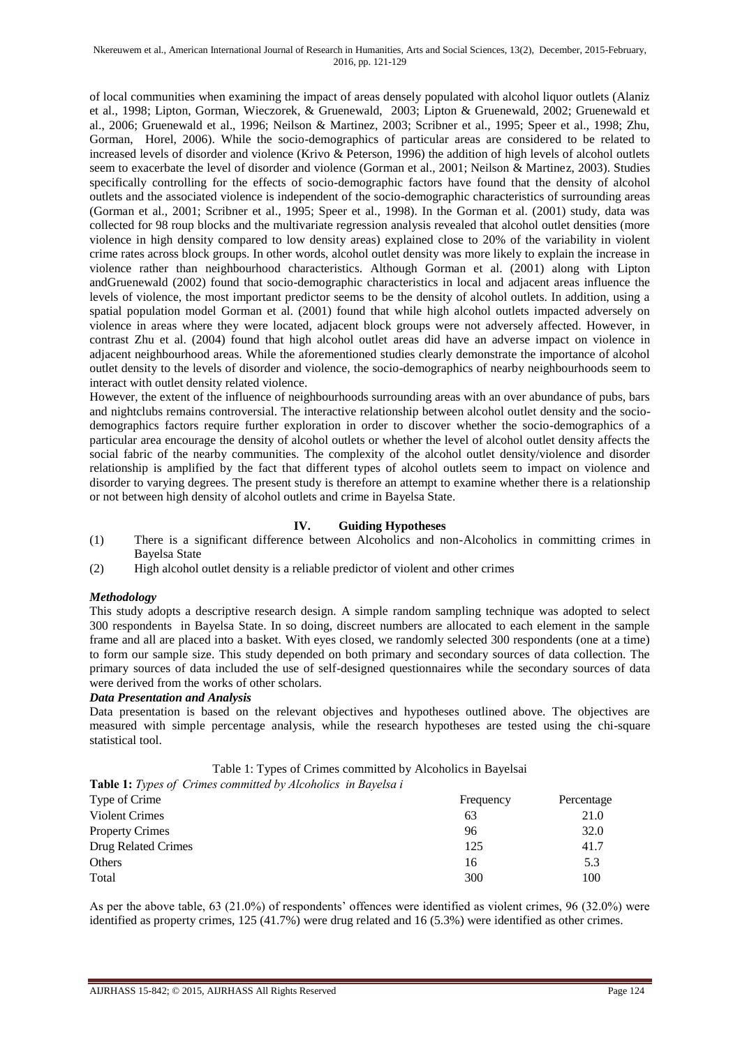#### Nkereuwem et al., American International Journal of Research in Humanities, Arts and Social Sciences, 13(2), December, 2015-February, 2016, pp. 121-129

of local communities when examining the impact of areas densely populated with alcohol liquor outlets (Alaniz et al., 1998; Lipton, Gorman, Wieczorek, & Gruenewald, 2003; Lipton & Gruenewald, 2002; Gruenewald et al., 2006; Gruenewald et al., 1996; Neilson & Martinez, 2003; Scribner et al., 1995; Speer et al., 1998; Zhu, Gorman, Horel, 2006). While the socio-demographics of particular areas are considered to be related to increased levels of disorder and violence (Krivo & Peterson, 1996) the addition of high levels of alcohol outlets seem to exacerbate the level of disorder and violence (Gorman et al., 2001; Neilson & Martinez, 2003). Studies specifically controlling for the effects of socio-demographic factors have found that the density of alcohol outlets and the associated violence is independent of the socio-demographic characteristics of surrounding areas (Gorman et al., 2001; Scribner et al., 1995; Speer et al., 1998). In the Gorman et al. (2001) study, data was collected for 98 roup blocks and the multivariate regression analysis revealed that alcohol outlet densities (more violence in high density compared to low density areas) explained close to 20% of the variability in violent crime rates across block groups. In other words, alcohol outlet density was more likely to explain the increase in violence rather than neighbourhood characteristics. Although Gorman et al. (2001) along with Lipton andGruenewald (2002) found that socio-demographic characteristics in local and adjacent areas influence the levels of violence, the most important predictor seems to be the density of alcohol outlets. In addition, using a spatial population model Gorman et al. (2001) found that while high alcohol outlets impacted adversely on violence in areas where they were located, adjacent block groups were not adversely affected. However, in contrast Zhu et al. (2004) found that high alcohol outlet areas did have an adverse impact on violence in adjacent neighbourhood areas. While the aforementioned studies clearly demonstrate the importance of alcohol outlet density to the levels of disorder and violence, the socio-demographics of nearby neighbourhoods seem to interact with outlet density related violence.

However, the extent of the influence of neighbourhoods surrounding areas with an over abundance of pubs, bars and nightclubs remains controversial. The interactive relationship between alcohol outlet density and the sociodemographics factors require further exploration in order to discover whether the socio-demographics of a particular area encourage the density of alcohol outlets or whether the level of alcohol outlet density affects the social fabric of the nearby communities. The complexity of the alcohol outlet density/violence and disorder relationship is amplified by the fact that different types of alcohol outlets seem to impact on violence and disorder to varying degrees. The present study is therefore an attempt to examine whether there is a relationship or not between high density of alcohol outlets and crime in Bayelsa State.

### **IV. Guiding Hypotheses**

- (1) There is a significant difference between Alcoholics and non-Alcoholics in committing crimes in Bayelsa State
- (2) High alcohol outlet density is a reliable predictor of violent and other crimes

### *Methodology*

This study adopts a descriptive research design. A simple random sampling technique was adopted to select 300 respondents in Bayelsa State. In so doing, discreet numbers are allocated to each element in the sample frame and all are placed into a basket. With eyes closed, we randomly selected 300 respondents (one at a time) to form our sample size. This study depended on both primary and secondary sources of data collection. The primary sources of data included the use of self-designed questionnaires while the secondary sources of data were derived from the works of other scholars.

#### *Data Presentation and Analysis*

Data presentation is based on the relevant objectives and hypotheses outlined above. The objectives are measured with simple percentage analysis, while the research hypotheses are tested using the chi-square statistical tool.

|  | Table 1: Types of Crimes committed by Alcoholics in Bayelsai |
|--|--------------------------------------------------------------|
|--|--------------------------------------------------------------|

**Table 1:** *Types of Crimes committed by Alcoholics in Bayelsa i*

| Type of Crime          | Frequency | Percentage |
|------------------------|-----------|------------|
| <b>Violent Crimes</b>  | 63        | 21.0       |
| <b>Property Crimes</b> | 96        | 32.0       |
| Drug Related Crimes    | 125       | 41.7       |
| <b>Others</b>          | 16        | 5.3        |
| Total                  | 300       | 100        |

As per the above table, 63 (21.0%) of respondents' offences were identified as violent crimes, 96 (32.0%) were identified as property crimes, 125 (41.7%) were drug related and 16 (5.3%) were identified as other crimes.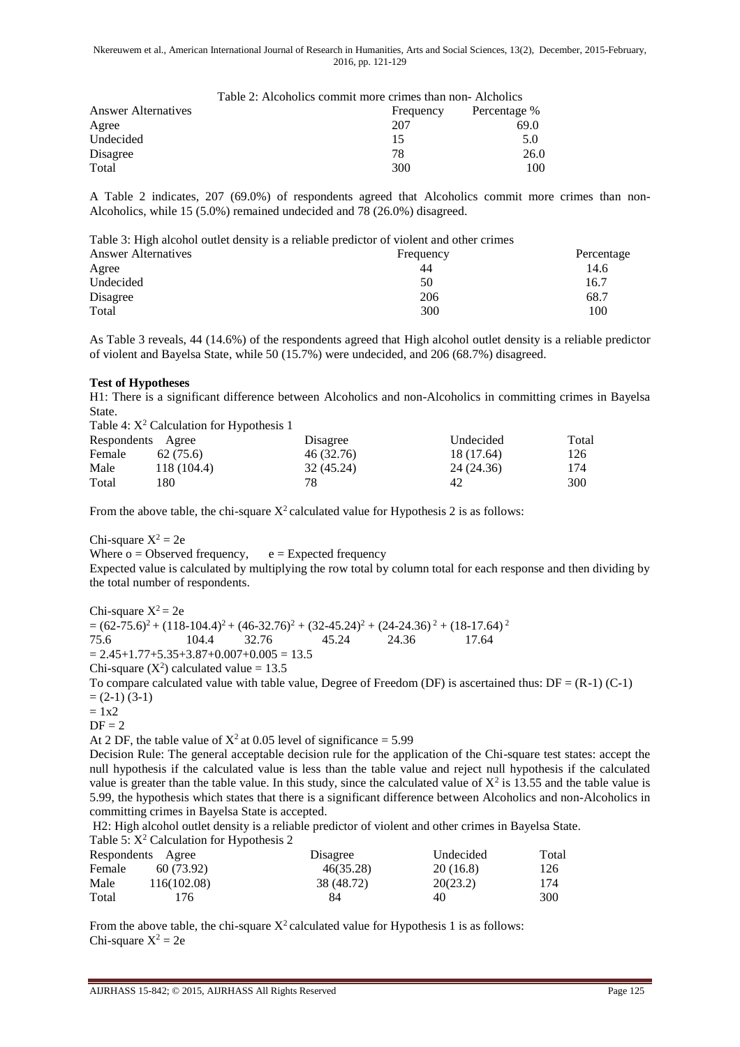|                            | Table 2: Alcoholics commit more crimes than non-Alcholics |              |  |
|----------------------------|-----------------------------------------------------------|--------------|--|
| <b>Answer Alternatives</b> | Frequency                                                 | Percentage % |  |
| Agree                      | 207                                                       | 69.0         |  |
| Undecided                  | 15                                                        | 5.0          |  |
| Disagree                   | 78                                                        | 26.0         |  |
| Total                      | 300                                                       | 100          |  |

A Table 2 indicates, 207 (69.0%) of respondents agreed that Alcoholics commit more crimes than non-Alcoholics, while 15 (5.0%) remained undecided and 78 (26.0%) disagreed.

| Table 3: High alcohol outlet density is a reliable predictor of violent and other crimes |           |            |
|------------------------------------------------------------------------------------------|-----------|------------|
| <b>Answer Alternatives</b>                                                               | Frequency | Percentage |
| Agree                                                                                    | 44        | 14.6       |
| Undecided                                                                                | 50        | 16.7       |
| Disagree                                                                                 | 206       | 68.7       |
| Total                                                                                    | 300       | 100        |

As Table 3 reveals, 44 (14.6%) of the respondents agreed that High alcohol outlet density is a reliable predictor of violent and Bayelsa State, while 50 (15.7%) were undecided, and 206 (68.7%) disagreed.

#### **Test of Hypotheses**

H1: There is a significant difference between Alcoholics and non-Alcoholics in committing crimes in Bayelsa State.  $Table 4: Y<sup>2</sup> Column for Hymothecia<sup>1</sup>$ 

|                   | Table 4: $\Lambda$ - Calculation for Hypothesis T |            |            |       |
|-------------------|---------------------------------------------------|------------|------------|-------|
| Respondents Agree |                                                   | Disagree   | Undecided  | Total |
| Female            | 62(75.6)                                          | 46 (32.76) | 18 (17.64) | 126   |
| Male              | 118 (104.4)                                       | 32 (45.24) | 24 (24.36) | 174   |
| Total             | 180                                               | 78         | 42         | 300   |

From the above table, the chi-square  $X^2$  calculated value for Hypothesis 2 is as follows:

Chi-square  $X^2 = 2e$ 

Where  $o = Observed frequency$ ,  $e = Expected frequency$ 

Expected value is calculated by multiplying the row total by column total for each response and then dividing by the total number of respondents.

Chi-square  $X^2 = 2e$  $=(62-75.6)^2+(118-104.4)^2+(46-32.76)^2+(32-45.24)^2+(24-24.36)^2+(18-17.64)^2$ 75.6 104.4 32.76 45.24 24.36 17.64  $= 2.45+1.77+5.35+3.87+0.007+0.005 = 13.5$ 

Chi-square  $(X^2)$  calculated value = 13.5

To compare calculated value with table value, Degree of Freedom (DF) is ascertained thus:  $DF = (R-1) (C-1)$  $= (2-1) (3-1)$ 

 $= 1x2$ 

 $DF = 2$ 

At 2 DF, the table value of  $X^2$  at 0.05 level of significance = 5.99

Decision Rule: The general acceptable decision rule for the application of the Chi-square test states: accept the null hypothesis if the calculated value is less than the table value and reject null hypothesis if the calculated value is greater than the table value. In this study, since the calculated value of  $X^2$  is 13.55 and the table value is 5.99, the hypothesis which states that there is a significant difference between Alcoholics and non-Alcoholics in committing crimes in Bayelsa State is accepted.

H2: High alcohol outlet density is a reliable predictor of violent and other crimes in Bayelsa State. Table 5:  $X^2$  Calculation for Hypothesis 2

| Respondents Agree |             | Disagree   | Undecided | Total |
|-------------------|-------------|------------|-----------|-------|
| Female            | 60 (73.92)  | 46(35.28)  | 20(16.8)  | 126   |
| Male              | 116(102.08) | 38 (48.72) | 20(23.2)  | 174   |
| Total             | 176.        | 84         | 40        | 300   |

From the above table, the chi-square  $X^2$  calculated value for Hypothesis 1 is as follows: Chi-square  $X^2 = 2e$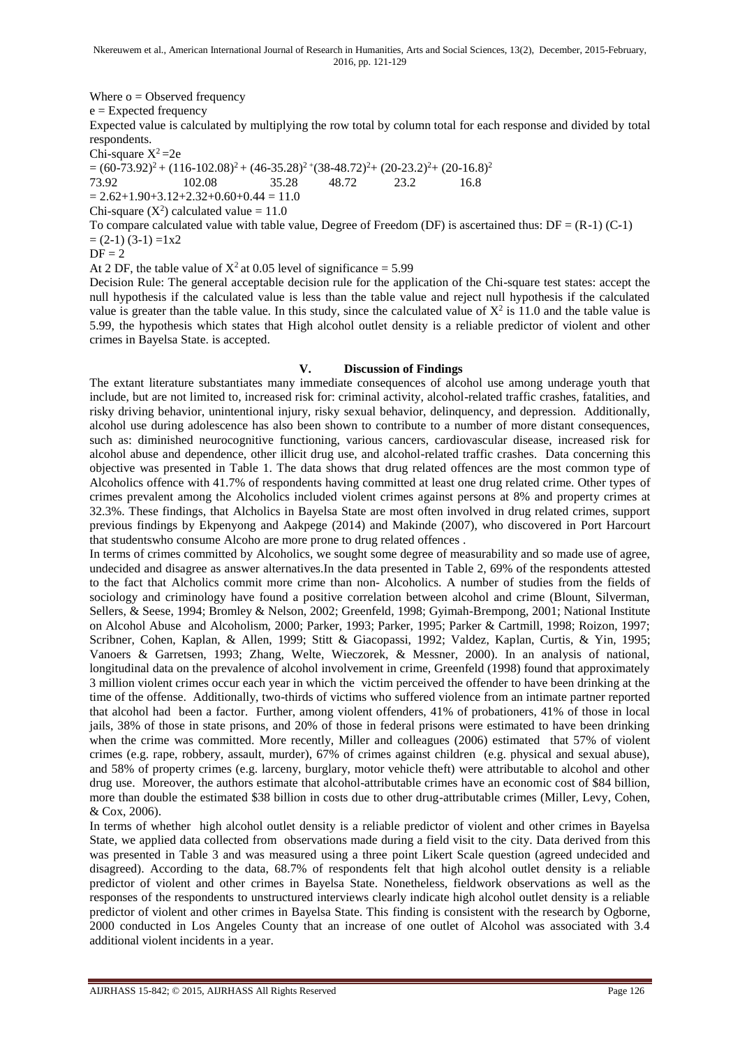Where  $o = Observed frequency$ 

e = Expected frequency

Expected value is calculated by multiplying the row total by column total for each response and divided by total respondents.

Chi-square  $X^2$ =2e

 $= (60-73.92)^2 + (116-102.08)^2 + (46-35.28)^2 + (38-48.72)^2 + (20-23.2)^2 + (20-16.8)^2$ <br>  $= 35.28$ <br>  $= 48.72$ <br>  $= 23.2$ <br>  $= 16.8$ 

73.92 102.08 35.28 48.72 23.2 16.8

 $= 2.62+1.90+3.12+2.32+0.60+0.44 = 11.0$ 

Chi-square  $(X^2)$  calculated value = 11.0

To compare calculated value with table value, Degree of Freedom (DF) is ascertained thus:  $DF = (R-1) (C-1)$  $=(2-1)(3-1) = 1x2$ 

 $DF = 2$ 

At 2 DF, the table value of  $X^2$  at 0.05 level of significance = 5.99

Decision Rule: The general acceptable decision rule for the application of the Chi-square test states: accept the null hypothesis if the calculated value is less than the table value and reject null hypothesis if the calculated value is greater than the table value. In this study, since the calculated value of  $X^2$  is 11.0 and the table value is 5.99, the hypothesis which states that High alcohol outlet density is a reliable predictor of violent and other crimes in Bayelsa State. is accepted.

#### **V. Discussion of Findings**

The extant literature substantiates many immediate consequences of alcohol use among underage youth that include, but are not limited to, increased risk for: criminal activity, alcohol-related traffic crashes, fatalities, and risky driving behavior, unintentional injury, risky sexual behavior, delinquency, and depression. Additionally, alcohol use during adolescence has also been shown to contribute to a number of more distant consequences, such as: diminished neurocognitive functioning, various cancers, cardiovascular disease, increased risk for alcohol abuse and dependence, other illicit drug use, and alcohol-related traffic crashes. Data concerning this objective was presented in Table 1. The data shows that drug related offences are the most common type of Alcoholics offence with 41.7% of respondents having committed at least one drug related crime. Other types of crimes prevalent among the Alcoholics included violent crimes against persons at 8% and property crimes at 32.3%. These findings, that Alcholics in Bayelsa State are most often involved in drug related crimes, support previous findings by Ekpenyong and Aakpege (2014) and Makinde (2007), who discovered in Port Harcourt that studentswho consume Alcoho are more prone to drug related offences .

In terms of crimes committed by Alcoholics, we sought some degree of measurability and so made use of agree, undecided and disagree as answer alternatives.In the data presented in Table 2, 69% of the respondents attested to the fact that Alcholics commit more crime than non- Alcoholics. A number of studies from the fields of sociology and criminology have found a positive correlation between alcohol and crime (Blount, Silverman, Sellers, & Seese, 1994; Bromley & Nelson, 2002; Greenfeld, 1998; Gyimah-Brempong, 2001; National Institute on Alcohol Abuse and Alcoholism, 2000; Parker, 1993; Parker, 1995; Parker & Cartmill, 1998; Roizon, 1997; Scribner, Cohen, Kaplan, & Allen, 1999; Stitt & Giacopassi, 1992; Valdez, Kaplan, Curtis, & Yin, 1995; Vanoers & Garretsen, 1993; Zhang, Welte, Wieczorek, & Messner, 2000). In an analysis of national, longitudinal data on the prevalence of alcohol involvement in crime, Greenfeld (1998) found that approximately 3 million violent crimes occur each year in which the victim perceived the offender to have been drinking at the time of the offense. Additionally, two-thirds of victims who suffered violence from an intimate partner reported that alcohol had been a factor. Further, among violent offenders, 41% of probationers, 41% of those in local jails, 38% of those in state prisons, and 20% of those in federal prisons were estimated to have been drinking when the crime was committed. More recently, Miller and colleagues (2006) estimated that 57% of violent crimes (e.g. rape, robbery, assault, murder), 67% of crimes against children (e.g. physical and sexual abuse), and 58% of property crimes (e.g. larceny, burglary, motor vehicle theft) were attributable to alcohol and other drug use. Moreover, the authors estimate that alcohol-attributable crimes have an economic cost of \$84 billion, more than double the estimated \$38 billion in costs due to other drug-attributable crimes (Miller, Levy, Cohen, & Cox, 2006).

In terms of whether high alcohol outlet density is a reliable predictor of violent and other crimes in Bayelsa State, we applied data collected from observations made during a field visit to the city. Data derived from this was presented in Table 3 and was measured using a three point Likert Scale question (agreed undecided and disagreed). According to the data, 68.7% of respondents felt that high alcohol outlet density is a reliable predictor of violent and other crimes in Bayelsa State. Nonetheless, fieldwork observations as well as the responses of the respondents to unstructured interviews clearly indicate high alcohol outlet density is a reliable predictor of violent and other crimes in Bayelsa State. This finding is consistent with the research by Ogborne, 2000 conducted in Los Angeles County that an increase of one outlet of Alcohol was associated with 3.4 additional violent incidents in a year.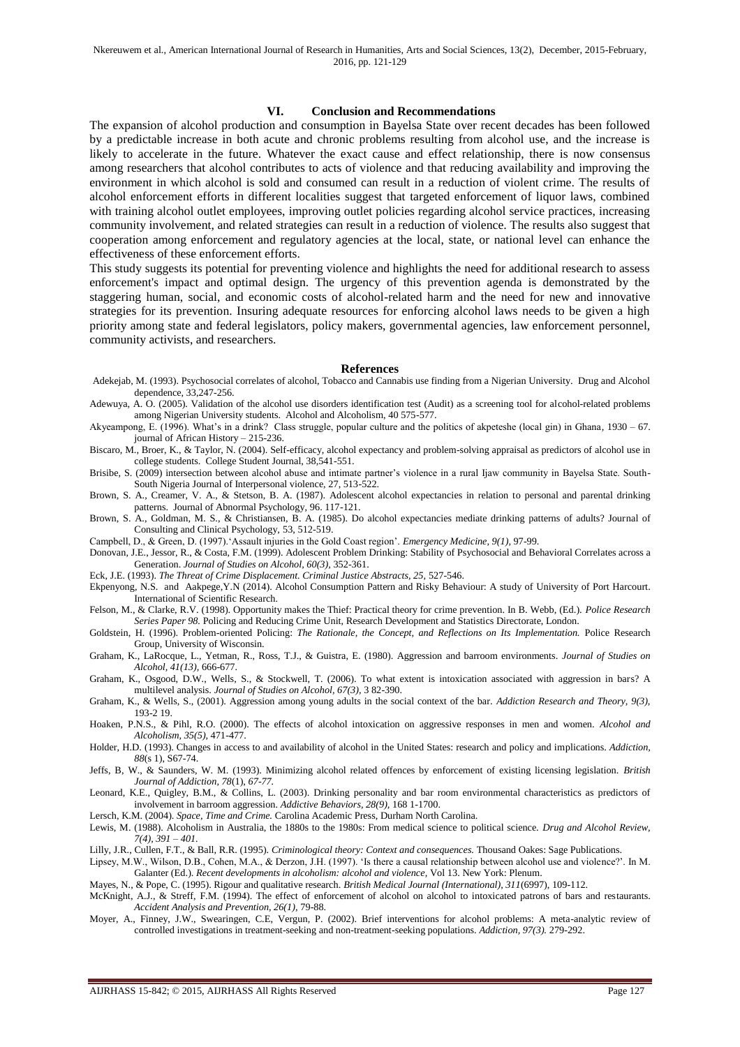#### **VI. Conclusion and Recommendations**

The expansion of alcohol production and consumption in Bayelsa State over recent decades has been followed by a predictable increase in both acute and chronic problems resulting from alcohol use, and the increase is likely to accelerate in the future. Whatever the exact cause and effect relationship, there is now consensus among researchers that alcohol contributes to acts of violence and that reducing availability and improving the environment in which alcohol is sold and consumed can result in a reduction of violent crime. The results of alcohol enforcement efforts in different localities suggest that targeted enforcement of liquor laws, combined with training alcohol outlet employees, improving outlet policies regarding alcohol service practices, increasing community involvement, and related strategies can result in a reduction of violence. The results also suggest that cooperation among enforcement and regulatory agencies at the local, state, or national level can enhance the effectiveness of these enforcement efforts.

This study suggests its potential for preventing violence and highlights the need for additional research to assess enforcement's impact and optimal design. The urgency of this prevention agenda is demonstrated by the staggering human, social, and economic costs of alcohol-related harm and the need for new and innovative strategies for its prevention. Insuring adequate resources for enforcing alcohol laws needs to be given a high priority among state and federal legislators, policy makers, governmental agencies, law enforcement personnel, community activists, and researchers.

#### **References**

- Adekejab, M. (1993). Psychosocial correlates of alcohol, Tobacco and Cannabis use finding from a Nigerian University. Drug and Alcohol dependence, 33,247-256.
- Adewuya, A. O. (2005). Validation of the alcohol use disorders identification test (Audit) as a screening tool for alcohol-related problems among Nigerian University students. Alcohol and Alcoholism, 40 575-577.
- Akyeampong, E. (1996). What's in a drink? Class struggle, popular culture and the politics of akpeteshe (local gin) in Ghana, 1930 67. journal of African History – 215-236.
- Biscaro, M., Broer, K., & Taylor, N. (2004). Self-efficacy, alcohol expectancy and problem-solving appraisal as predictors of alcohol use in college students. College Student Journal, 38,541-551.
- Brisibe, S. (2009) intersection between alcohol abuse and intimate partner's violence in a rural Ijaw community in Bayelsa State. South-South Nigeria Journal of Interpersonal violence, 27, 513-522.
- Brown, S. A., Creamer, V. A., & Stetson, B. A. (1987). Adolescent alcohol expectancies in relation to personal and parental drinking patterns. Journal of Abnormal Psychology, 96. 117-121.
- Brown, S. A., Goldman, M. S., & Christiansen, B. A. (1985). Do alcohol expectancies mediate drinking patterns of adults? Journal of Consulting and Clinical Psychology, 53, 512-519.
- Campbell, D., & Green, D. (1997).'Assault injuries in the Gold Coast region'. *Emergency Medicine, 9(1),* 97-99.
- Donovan, J.E., Jessor, R., & Costa, F.M. (1999). Adolescent Problem Drinking: Stability of Psychosocial and Behavioral Correlates across a Generation. *Journal of Studies on Alcohol, 60(3),* 352-361.
- Eck, J.E. (1993). *The Threat of Crime Displacement. Criminal Justice Abstracts*, 25, 527-546.
- Ekpenyong, N.S. and Aakpege,Y.N (2014). Alcohol Consumption Pattern and Risky Behaviour: A study of University of Port Harcourt. International of Scientific Research.
- Felson, M., & Clarke, R.V. (1998). Opportunity makes the Thief: Practical theory for crime prevention. In B. Webb, (Ed.). *Police Research Series Paper 98.* Policing and Reducing Crime Unit, Research Development and Statistics Directorate, London.
- Goldstein, H. (1996). Problem-oriented Policing: *The Rationale, the Concept, and Reflections on Its Implementation.* Police Research Group, University of Wisconsin.
- Graham, K., LaRocque, L., Yetman, R., Ross, T.J., & Guistra, E. (1980). Aggression and barroom environments. *Journal of Studies on Alcohol, 41(13),* 666-677.
- Graham, K., Osgood, D.W., Wells, S., & Stockwell, T. (2006). To what extent is intoxication associated with aggression in bars? A multilevel analysis. *Journal of Studies on Alcohol, 67(3),* 3 82-390.
- Graham, K., & Wells, S., (2001). Aggression among young adults in the social context of the bar. *Addiction Research and Theory, 9(3),*  193-2 19.
- Hoaken, P.N.S., & Pihl, R.O. (2000). The effects of alcohol intoxication on aggressive responses in men and women. *Alcohol and Alcoholism, 35(5),* 471-477.
- Holder, H.D. (1993). Changes in access to and availability of alcohol in the United States: research and policy and implications. *Addiction, 88*(s 1), S67-74.
- Jeffs, B, W., & Saunders, W. M. (1993). Minimizing alcohol related offences by enforcement of existing licensing legislation. *British Journal of Addiction, 78*(1), *67-77.*
- Leonard, K.E., Quigley, B.M., & Collins, L. (2003). Drinking personality and bar room environmental characteristics as predictors of involvement in barroom aggression. *Addictive Behaviors, 28(9),* 168 1-1700.
- Lersch, K.M. (2004). *Space, Time and Crime.* Carolina Academic Press, Durham North Carolina.
- Lewis, M. (1988). Alcoholism in Australia, the 1880s to the 1980s: From medical science to political science. *Drug and Alcohol Review, 7(4), 391 – 401.*
- Lilly, J.R., Cullen, F.T., & Ball, R.R. (1995). *Criminological theory: Context and consequences.* Thousand Oakes: Sage Publications.
- Lipsey, M.W., Wilson, D.B., Cohen, M.A., & Derzon, J.H. (1997). 'Is there a causal relationship between alcohol use and violence?'. In M. Galanter (Ed.). *Recent developments in alcoholism: alcohol and violence,* Vol 13. New York: Plenum.
- Mayes, N., & Pope, C. (1995). Rigour and qualitative research. *British Medical Journal (International), 311*(6997), 109-112.
- McKnight, A.J., & Streff, F.M. (1994). The effect of enforcement of alcohol on alcohol to intoxicated patrons of bars and restaurants. *Accident Analysis and Prevention, 26(1),* 79-88.
- Moyer, A., Finney, J.W., Swearingen, C.E, Vergun, P. (2002). Brief interventions for alcohol problems: A meta-analytic review of controlled investigations in treatment-seeking and non-treatment-seeking populations. *Addiction, 97(3).* 279-292.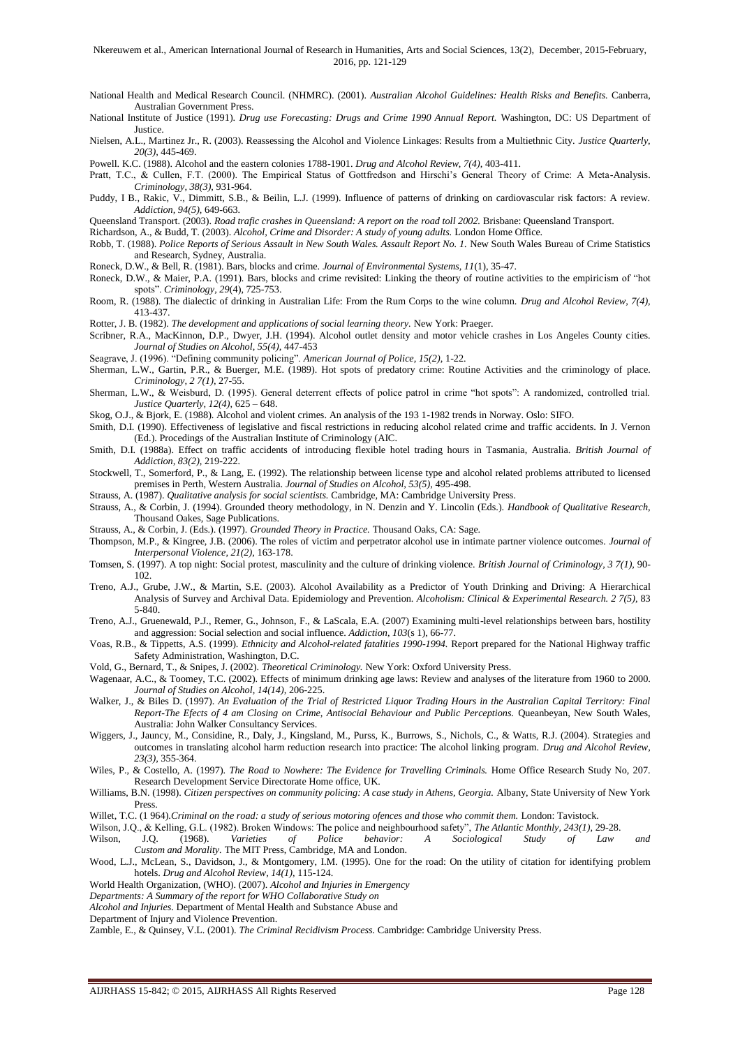- National Health and Medical Research Council. (NHMRC). (2001). *Australian Alcohol Guidelines: Health Risks and Benefits.* Canberra, Australian Government Press.
- National Institute of Justice (1991). *Drug use Forecasting: Drugs and Crime 1990 Annual Report.* Washington, DC: US Department of Justice.
- Nielsen, A.L., Martinez Jr., R. (2003). Reassessing the Alcohol and Violence Linkages: Results from a Multiethnic City. *Justice Quarterly, 20(3),* 445-469.
- Powell. K.C. (1988). Alcohol and the eastern colonies 1788-1901. *Drug and Alcohol Review, 7(4),* 403-411.
- Pratt, T.C., & Cullen, F.T. (2000). The Empirical Status of Gottfredson and Hirschi's General Theory of Crime: A Meta-Analysis. *Criminology, 38(3),* 931-964.
- Puddy, I B., Rakic, V., Dimmitt, S.B., & Beilin, L.J. (1999). Influence of patterns of drinking on cardiovascular risk factors: A review. *Addiction, 94(5),* 649-663.
- Queensland Transport. (2003). *Road trafic crashes in Queensland: A report on the road toll 2002.* Brisbane: Queensland Transport.
- Richardson, A., & Budd, T. (2003). *Alcohol, Crime and Disorder: A study of young adults.* London Home Office.
- Robb, T. (1988). Police Reports of Serious Assault in New South Wales. Assault Report No. 1. New South Wales Bureau of Crime Statistics and Research, Sydney, Australia.
- Roneck, D.W., & Bell, R. (1981). Bars, blocks and crime. *Journal of Environmental Systems, 11*(1), 35-47.
- Roneck, D.W., & Maier, P.A. (1991). Bars, blocks and crime revisited: Linking the theory of routine activities to the empiricism of "hot spots". *Criminology, 29*(4), 725-753.
- Room, R. (1988). The dialectic of drinking in Australian Life: From the Rum Corps to the wine column. *Drug and Alcohol Review, 7(4),*  413-437.
- Rotter, J. B. (1982). *The development and applications of social learning theory.* New York: Praeger.
- Scribner, R.A., MacKinnon, D.P., Dwyer, J.H. (1994). Alcohol outlet density and motor vehicle crashes in Los Angeles County cities. *Journal of Studies on Alcohol, 55(4),* 447-453
- Seagrave, J. (1996). "Defining community policing". *American Journal of Police, 15(2),* 1-22.
- Sherman, L.W., Gartin, P.R., & Buerger, M.E. (1989). Hot spots of predatory crime: Routine Activities and the criminology of place. *Criminology, 2 7(1),* 27-55.
- Sherman, L.W., & Weisburd, D. (1995). General deterrent effects of police patrol in crime "hot spots": A randomized, controlled trial. *Justice Quarterly, 12(4),* 625 – 648.
- Skog, O.J., & Bjork, E. (1988). Alcohol and violent crimes. An analysis of the 193 1-1982 trends in Norway. Oslo: SIFO.
- Smith, D.I. (1990). Effectiveness of legislative and fiscal restrictions in reducing alcohol related crime and traffic accidents. In J. Vernon (Ed.). Procedings of the Australian Institute of Criminology (AIC.
- Smith, D.I. (1988a). Effect on traffic accidents of introducing flexible hotel trading hours in Tasmania, Australia. *British Journal of Addiction, 83(2),* 219-222.
- Stockwell, T., Somerford, P., & Lang, E. (1992). The relationship between license type and alcohol related problems attributed to licensed premises in Perth, Western Australia. *Journal of Studies on Alcohol, 53(5),* 495-498.
- Strauss, A. (1987). *Qualitative analysis for social scientists.* Cambridge, MA: Cambridge University Press.
- Strauss, A., & Corbin, J. (1994). Grounded theory methodology, in N. Denzin and Y. Lincolin (Eds.). *Handbook of Qualitative Research,*  Thousand Oakes, Sage Publications.
- Strauss, A., & Corbin, J. (Eds.). (1997). *Grounded Theory in Practice.* Thousand Oaks, CA: Sage.
- Thompson, M.P., & Kingree, J.B. (2006). The roles of victim and perpetrator alcohol use in intimate partner violence outcomes. *Journal of Interpersonal Violence, 21(2),* 163-178.
- Tomsen, S. (1997). A top night: Social protest, masculinity and the culture of drinking violence. *British Journal of Criminology, 3 7(1),* 90- 102.
- Treno, A.J., Grube, J.W., & Martin, S.E. (2003). Alcohol Availability as a Predictor of Youth Drinking and Driving: A Hierarchical Analysis of Survey and Archival Data. Epidemiology and Prevention. *Alcoholism: Clinical & Experimental Research. 2 7(5),* 83 5-840.
- Treno, A.J., Gruenewald, P.J., Remer, G., Johnson, F., & LaScala, E.A. (2007) Examining multi-level relationships between bars, hostility and aggression: Social selection and social influence. *Addiction, 103*(s 1), 66-77.
- Voas, R.B., & Tippetts, A.S. (1999). *Ethnicity and Alcohol-related fatalities 1990-1994.* Report prepared for the National Highway traffic Safety Administration, Washington, D.C.
- Vold, G., Bernard, T., & Snipes, J. (2002). *Theoretical Criminology.* New York: Oxford University Press.
- Wagenaar, A.C., & Toomey, T.C. (2002). Effects of minimum drinking age laws: Review and analyses of the literature from 1960 to 2000. *Journal of Studies on Alcohol, 14(14),* 206-225.
- Walker, J., & Biles D. (1997). *An Evaluation of the Trial of Restricted Liquor Trading Hours in the Australian Capital Territory: Final Report-The Efects of 4 am Closing on Crime, Antisocial Behaviour and Public Perceptions.* Queanbeyan, New South Wales, Australia: John Walker Consultancy Services.
- Wiggers, J., Jauncy, M., Considine, R., Daly, J., Kingsland, M., Purss, K., Burrows, S., Nichols, C., & Watts, R.J. (2004). Strategies and outcomes in translating alcohol harm reduction research into practice: The alcohol linking program. *Drug and Alcohol Review, 23(3),* 355-364.
- Wiles, P., & Costello, A. (1997). *The Road to Nowhere: The Evidence for Travelling Criminals.* Home Office Research Study No, 207. Research Development Service Directorate Home office, UK.
- Williams, B.N. (1998). *Citizen perspectives on community policing: A case study in Athens, Georgia*. Albany, State University of New York Press.
- Willet, T.C. (1 964).*Criminal on the road: a study of serious motoring ofences and those who commit them.* London: Tavistock.
- Wilson, J.Q., & Kelling, G.L. (1982). Broken Windows: The police and neighbourhood safety", *The Atlantic Monthly, 243(1), 29-28.*<br>Wilson, J.Q. (1968). Varieties of Police behavior: A Sociological Study of Law Wilson, J.Q. (1968). *Varieties of Police behavior: A Sociological Study of Law and Custom and Morality.* The MIT Press, Cambridge, MA and London.
- Wood, L.J., McLean, S., Davidson, J., & Montgomery, I.M. (1995). One for the road: On the utility of citation for identifying problem hotels. *Drug and Alcohol Review, 14(1),* 115-124.
- World Health Organization, (WHO). (2007). *Alcohol and Injuries in Emergency*

*Departments: A Summary of the report for WHO Collaborative Study on*

- *Alcohol and Injuries.* Department of Mental Health and Substance Abuse and
- Department of Injury and Violence Prevention.
- Zamble, E., & Quinsey, V.L. (2001). *The Criminal Recidivism Process.* Cambridge: Cambridge University Press.